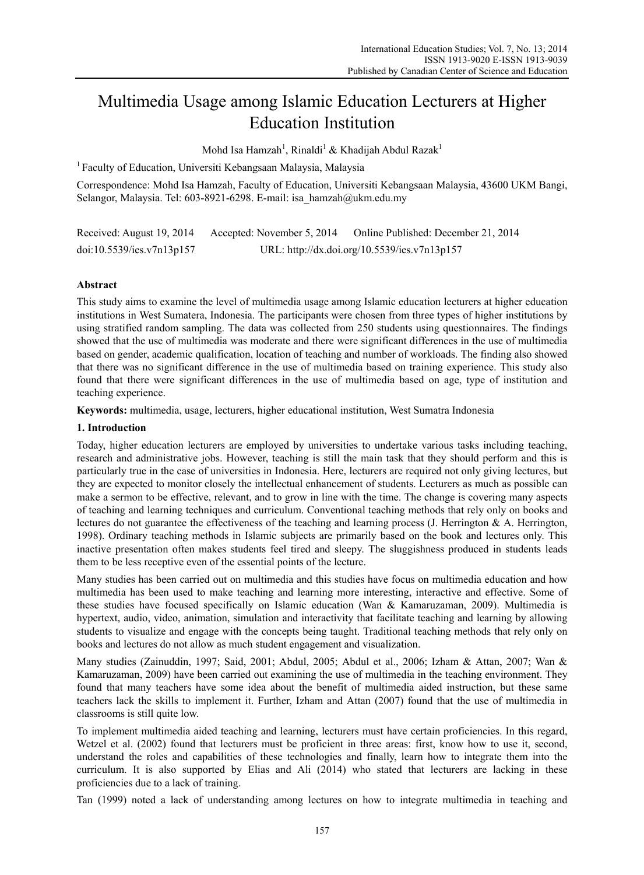# Multimedia Usage among Islamic Education Lecturers at Higher Education Institution

Mohd Isa Hamzah<sup>1</sup>, Rinaldi<sup>1</sup> & Khadijah Abdul Razak<sup>1</sup>

1 Faculty of Education, Universiti Kebangsaan Malaysia, Malaysia

Correspondence: Mohd Isa Hamzah, Faculty of Education, Universiti Kebangsaan Malaysia, 43600 UKM Bangi, Selangor, Malaysia. Tel: 603-8921-6298. E-mail: isa\_hamzah@ukm.edu.my

Received: August 19, 2014 Accepted: November 5, 2014 Online Published: December 21, 2014 doi:10.5539/ies.v7n13p157 URL: http://dx.doi.org/10.5539/ies.v7n13p157

## **Abstract**

This study aims to examine the level of multimedia usage among Islamic education lecturers at higher education institutions in West Sumatera, Indonesia. The participants were chosen from three types of higher institutions by using stratified random sampling. The data was collected from 250 students using questionnaires. The findings showed that the use of multimedia was moderate and there were significant differences in the use of multimedia based on gender, academic qualification, location of teaching and number of workloads. The finding also showed that there was no significant difference in the use of multimedia based on training experience. This study also found that there were significant differences in the use of multimedia based on age, type of institution and teaching experience.

**Keywords:** multimedia, usage, lecturers, higher educational institution, West Sumatra Indonesia

#### **1. Introduction**

Today, higher education lecturers are employed by universities to undertake various tasks including teaching, research and administrative jobs. However, teaching is still the main task that they should perform and this is particularly true in the case of universities in Indonesia. Here, lecturers are required not only giving lectures, but they are expected to monitor closely the intellectual enhancement of students. Lecturers as much as possible can make a sermon to be effective, relevant, and to grow in line with the time. The change is covering many aspects of teaching and learning techniques and curriculum. Conventional teaching methods that rely only on books and lectures do not guarantee the effectiveness of the teaching and learning process  $(J.$  Herrington  $\& A.$  Herrington, 1998). Ordinary teaching methods in Islamic subjects are primarily based on the book and lectures only. This inactive presentation often makes students feel tired and sleepy. The sluggishness produced in students leads them to be less receptive even of the essential points of the lecture.

Many studies has been carried out on multimedia and this studies have focus on multimedia education and how multimedia has been used to make teaching and learning more interesting, interactive and effective. Some of these studies have focused specifically on Islamic education (Wan & Kamaruzaman, 2009). Multimedia is hypertext, audio, video, animation, simulation and interactivity that facilitate teaching and learning by allowing students to visualize and engage with the concepts being taught. Traditional teaching methods that rely only on books and lectures do not allow as much student engagement and visualization.

Many studies (Zainuddin, 1997; Said, 2001; Abdul, 2005; Abdul et al., 2006; Izham & Attan, 2007; Wan & Kamaruzaman, 2009) have been carried out examining the use of multimedia in the teaching environment. They found that many teachers have some idea about the benefit of multimedia aided instruction, but these same teachers lack the skills to implement it. Further, Izham and Attan (2007) found that the use of multimedia in classrooms is still quite low.

To implement multimedia aided teaching and learning, lecturers must have certain proficiencies. In this regard, Wetzel et al. (2002) found that lecturers must be proficient in three areas: first, know how to use it, second, understand the roles and capabilities of these technologies and finally, learn how to integrate them into the curriculum. It is also supported by Elias and Ali (2014) who stated that lecturers are lacking in these proficiencies due to a lack of training.

Tan (1999) noted a lack of understanding among lectures on how to integrate multimedia in teaching and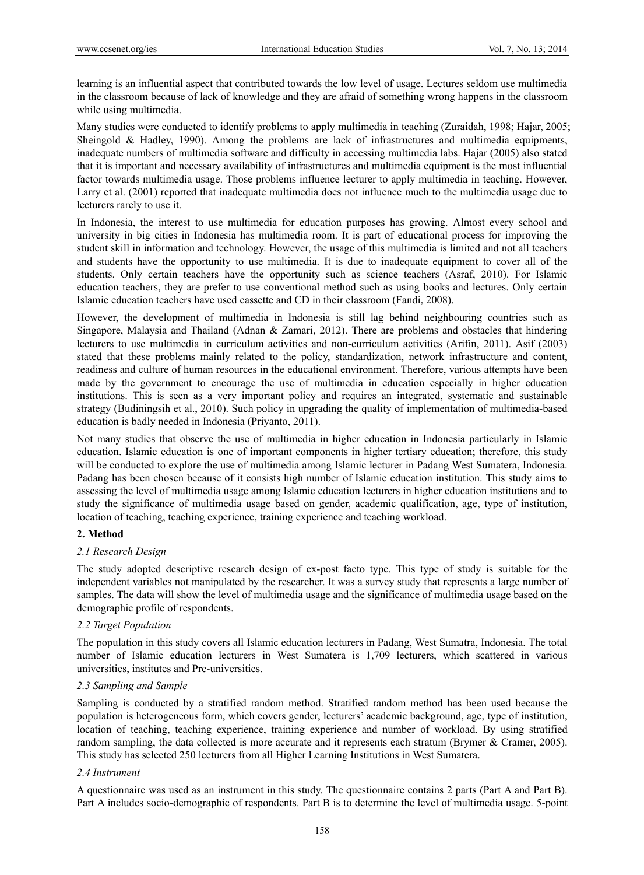learning is an influential aspect that contributed towards the low level of usage. Lectures seldom use multimedia in the classroom because of lack of knowledge and they are afraid of something wrong happens in the classroom while using multimedia.

Many studies were conducted to identify problems to apply multimedia in teaching (Zuraidah, 1998; Hajar, 2005; Sheingold & Hadley, 1990). Among the problems are lack of infrastructures and multimedia equipments, inadequate numbers of multimedia software and difficulty in accessing multimedia labs. Hajar (2005) also stated that it is important and necessary availability of infrastructures and multimedia equipment is the most influential factor towards multimedia usage. Those problems influence lecturer to apply multimedia in teaching. However, Larry et al. (2001) reported that inadequate multimedia does not influence much to the multimedia usage due to lecturers rarely to use it.

In Indonesia, the interest to use multimedia for education purposes has growing. Almost every school and university in big cities in Indonesia has multimedia room. It is part of educational process for improving the student skill in information and technology. However, the usage of this multimedia is limited and not all teachers and students have the opportunity to use multimedia. It is due to inadequate equipment to cover all of the students. Only certain teachers have the opportunity such as science teachers (Asraf, 2010). For Islamic education teachers, they are prefer to use conventional method such as using books and lectures. Only certain Islamic education teachers have used cassette and CD in their classroom (Fandi, 2008).

However, the development of multimedia in Indonesia is still lag behind neighbouring countries such as Singapore, Malaysia and Thailand (Adnan & Zamari, 2012). There are problems and obstacles that hindering lecturers to use multimedia in curriculum activities and non-curriculum activities (Arifin, 2011). Asif (2003) stated that these problems mainly related to the policy, standardization, network infrastructure and content, readiness and culture of human resources in the educational environment. Therefore, various attempts have been made by the government to encourage the use of multimedia in education especially in higher education institutions. This is seen as a very important policy and requires an integrated, systematic and sustainable strategy (Budiningsih et al., 2010). Such policy in upgrading the quality of implementation of multimedia-based education is badly needed in Indonesia (Priyanto, 2011).

Not many studies that observe the use of multimedia in higher education in Indonesia particularly in Islamic education. Islamic education is one of important components in higher tertiary education; therefore, this study will be conducted to explore the use of multimedia among Islamic lecturer in Padang West Sumatera, Indonesia. Padang has been chosen because of it consists high number of Islamic education institution. This study aims to assessing the level of multimedia usage among Islamic education lecturers in higher education institutions and to study the significance of multimedia usage based on gender, academic qualification, age, type of institution, location of teaching, teaching experience, training experience and teaching workload.

## **2. Method**

#### *2.1 Research Design*

The study adopted descriptive research design of ex-post facto type. This type of study is suitable for the independent variables not manipulated by the researcher. It was a survey study that represents a large number of samples. The data will show the level of multimedia usage and the significance of multimedia usage based on the demographic profile of respondents.

#### *2.2 Target Population*

The population in this study covers all Islamic education lecturers in Padang, West Sumatra, Indonesia. The total number of Islamic education lecturers in West Sumatera is 1,709 lecturers, which scattered in various universities, institutes and Pre-universities.

#### *2.3 Sampling and Sample*

Sampling is conducted by a stratified random method. Stratified random method has been used because the population is heterogeneous form, which covers gender, lecturers' academic background, age, type of institution, location of teaching, teaching experience, training experience and number of workload. By using stratified random sampling, the data collected is more accurate and it represents each stratum (Brymer & Cramer, 2005). This study has selected 250 lecturers from all Higher Learning Institutions in West Sumatera.

#### *2.4 Instrument*

A questionnaire was used as an instrument in this study. The questionnaire contains 2 parts (Part A and Part B). Part A includes socio-demographic of respondents. Part B is to determine the level of multimedia usage. 5-point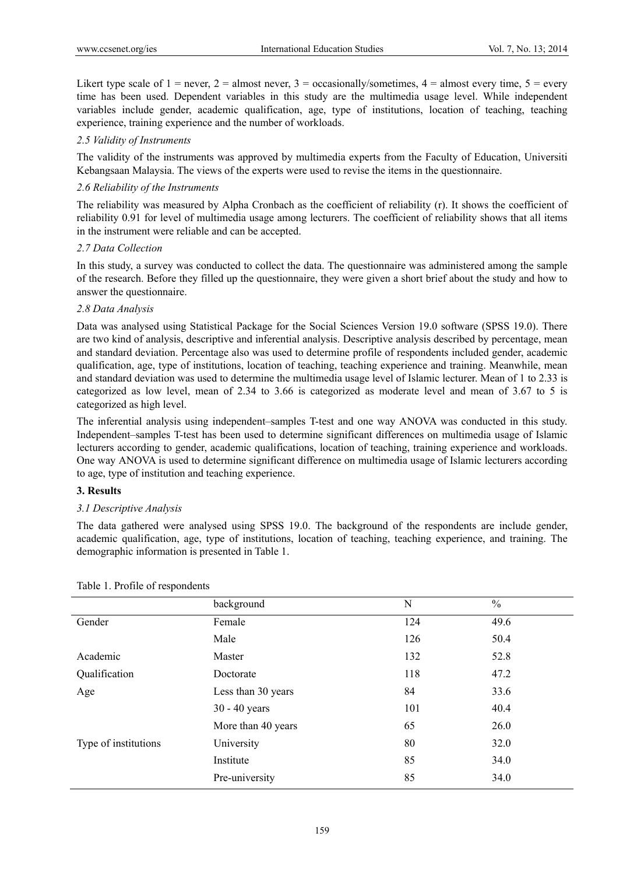Likert type scale of  $1 =$  never,  $2 =$  almost never,  $3 =$  occasionally/sometimes,  $4 =$  almost every time,  $5 =$  every time has been used. Dependent variables in this study are the multimedia usage level. While independent variables include gender, academic qualification, age, type of institutions, location of teaching, teaching experience, training experience and the number of workloads.

### *2.5 Validity of Instruments*

The validity of the instruments was approved by multimedia experts from the Faculty of Education, Universiti Kebangsaan Malaysia. The views of the experts were used to revise the items in the questionnaire.

### *2.6 Reliability of the Instruments*

The reliability was measured by Alpha Cronbach as the coefficient of reliability (r). It shows the coefficient of reliability 0.91 for level of multimedia usage among lecturers. The coefficient of reliability shows that all items in the instrument were reliable and can be accepted.

## *2.7 Data Collection*

In this study, a survey was conducted to collect the data. The questionnaire was administered among the sample of the research. Before they filled up the questionnaire, they were given a short brief about the study and how to answer the questionnaire.

## *2.8 Data Analysis*

Data was analysed using Statistical Package for the Social Sciences Version 19.0 software (SPSS 19.0). There are two kind of analysis, descriptive and inferential analysis. Descriptive analysis described by percentage, mean and standard deviation. Percentage also was used to determine profile of respondents included gender, academic qualification, age, type of institutions, location of teaching, teaching experience and training. Meanwhile, mean and standard deviation was used to determine the multimedia usage level of Islamic lecturer. Mean of 1 to 2.33 is categorized as low level, mean of 2.34 to 3.66 is categorized as moderate level and mean of 3.67 to 5 is categorized as high level.

The inferential analysis using independent–samples T-test and one way ANOVA was conducted in this study. Independent–samples T-test has been used to determine significant differences on multimedia usage of Islamic lecturers according to gender, academic qualifications, location of teaching, training experience and workloads. One way ANOVA is used to determine significant difference on multimedia usage of Islamic lecturers according to age, type of institution and teaching experience.

#### **3. Results**

# *3.1 Descriptive Analysis*

The data gathered were analysed using SPSS 19.0. The background of the respondents are include gender, academic qualification, age, type of institutions, location of teaching, teaching experience, and training. The demographic information is presented in Table 1.

|                      | background         | N   | $\frac{0}{0}$ |
|----------------------|--------------------|-----|---------------|
| Gender               | Female             | 124 | 49.6          |
|                      | Male               | 126 | 50.4          |
| Academic             | Master             | 132 | 52.8          |
| Qualification        | Doctorate          | 118 | 47.2          |
| Age                  | Less than 30 years | 84  | 33.6          |
|                      | $30 - 40$ years    | 101 | 40.4          |
|                      | More than 40 years | 65  | 26.0          |
| Type of institutions | University         | 80  | 32.0          |
|                      | Institute          | 85  | 34.0          |
|                      | Pre-university     | 85  | 34.0          |

Table 1. Profile of respondents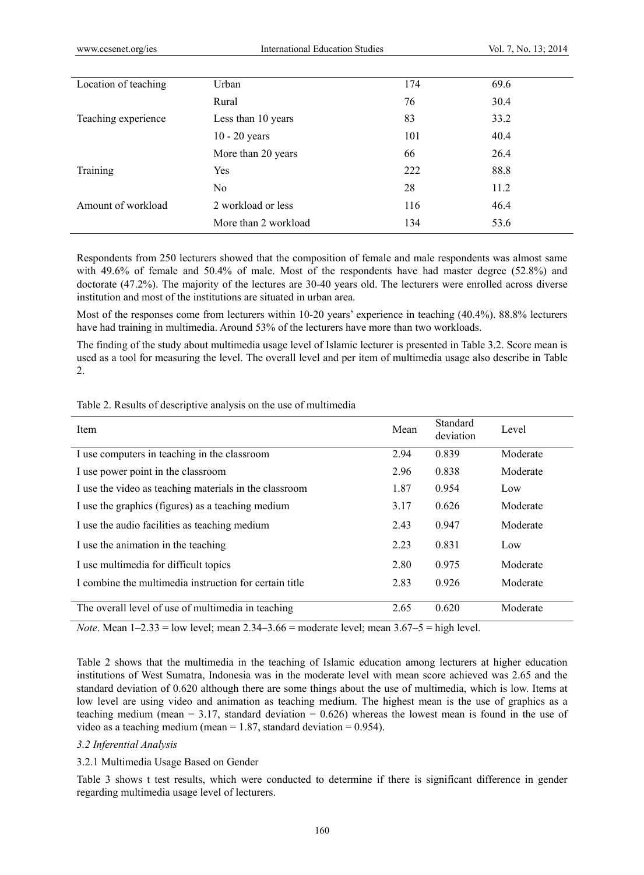| Location of teaching | Urban                | 174 | 69.6 |
|----------------------|----------------------|-----|------|
|                      | Rural                | 76  | 30.4 |
| Teaching experience  | Less than 10 years   | 83  | 33.2 |
|                      | $10 - 20$ years      | 101 | 40.4 |
|                      | More than 20 years   | 66  | 26.4 |
| Training             | Yes                  | 222 | 88.8 |
|                      | N <sub>0</sub>       | 28  | 11.2 |
| Amount of workload   | 2 workload or less   | 116 | 46.4 |
|                      | More than 2 workload | 134 | 53.6 |
|                      |                      |     |      |

Respondents from 250 lecturers showed that the composition of female and male respondents was almost same with 49.6% of female and 50.4% of male. Most of the respondents have had master degree (52.8%) and doctorate (47.2%). The majority of the lectures are 30-40 years old. The lecturers were enrolled across diverse institution and most of the institutions are situated in urban area.

Most of the responses come from lecturers within 10-20 years' experience in teaching (40.4%). 88.8% lecturers have had training in multimedia. Around 53% of the lecturers have more than two workloads.

The finding of the study about multimedia usage level of Islamic lecturer is presented in Table 3.2. Score mean is used as a tool for measuring the level. The overall level and per item of multimedia usage also describe in Table 2.

| Item                                                   | Mean | Standard<br>deviation | Level    |
|--------------------------------------------------------|------|-----------------------|----------|
| I use computers in teaching in the classroom           | 2.94 | 0.839                 | Moderate |
| I use power point in the classroom                     | 2.96 | 0.838                 | Moderate |
| I use the video as teaching materials in the classroom | 1.87 | 0.954                 | Low      |
| I use the graphics (figures) as a teaching medium      | 3.17 | 0.626                 | Moderate |
| I use the audio facilities as teaching medium          | 2.43 | 0.947                 | Moderate |
| I use the animation in the teaching                    | 2.23 | 0.831                 | Low      |
| I use multimedia for difficult topics                  | 2.80 | 0.975                 | Moderate |
| I combine the multimedia instruction for certain title | 2.83 | 0.926                 | Moderate |
| The overall level of use of multimedia in teaching     | 2.65 | 0.620                 | Moderate |

Table 2. Results of descriptive analysis on the use of multimedia

*Note*. Mean 1–2.33 = low level; mean 2.34–3.66 = moderate level; mean 3.67–5 = high level.

Table 2 shows that the multimedia in the teaching of Islamic education among lecturers at higher education institutions of West Sumatra, Indonesia was in the moderate level with mean score achieved was 2.65 and the standard deviation of 0.620 although there are some things about the use of multimedia, which is low. Items at low level are using video and animation as teaching medium. The highest mean is the use of graphics as a teaching medium (mean  $= 3.17$ , standard deviation  $= 0.626$ ) whereas the lowest mean is found in the use of video as a teaching medium (mean  $= 1.87$ , standard deviation  $= 0.954$ ).

#### *3.2 Inferential Analysis*

#### 3.2.1 Multimedia Usage Based on Gender

Table 3 shows t test results, which were conducted to determine if there is significant difference in gender regarding multimedia usage level of lecturers.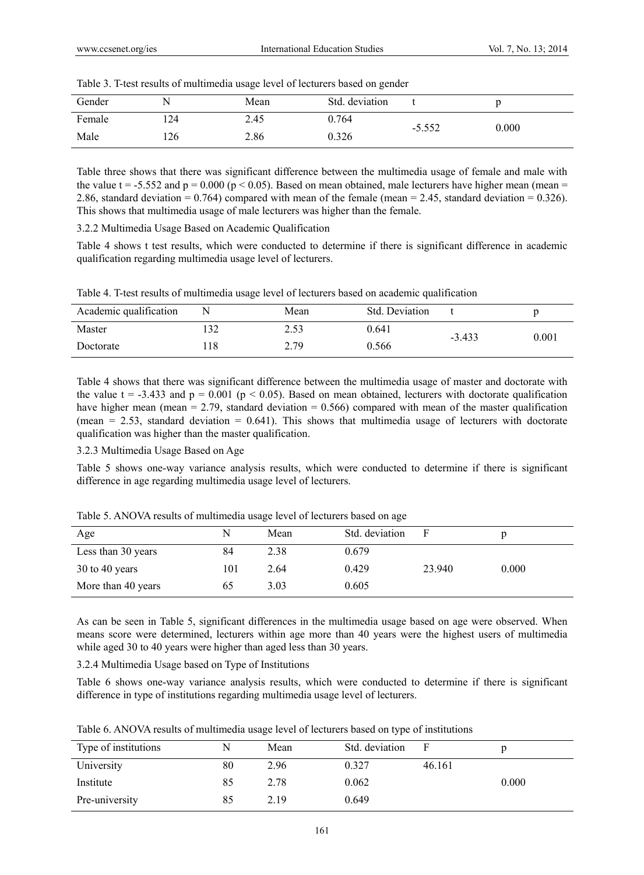|        |     | --   | ~              |          |       |
|--------|-----|------|----------------|----------|-------|
| Gender | N   | Mean | Std. deviation |          |       |
| Female | 124 | 2.45 | 0.764          | $-5.552$ | 0.000 |
| Male   | 126 | 2.86 | 0.326          |          |       |

Table 3. T-test results of multimedia usage level of lecturers based on gender

Table three shows that there was significant difference between the multimedia usage of female and male with the value t = -5.552 and  $p = 0.000$  ( $p < 0.05$ ). Based on mean obtained, male lecturers have higher mean (mean = 2.86, standard deviation = 0.764) compared with mean of the female (mean = 2.45, standard deviation = 0.326). This shows that multimedia usage of male lecturers was higher than the female.

3.2.2 Multimedia Usage Based on Academic Qualification

Table 4 shows t test results, which were conducted to determine if there is significant difference in academic qualification regarding multimedia usage level of lecturers.

|  |  |  |  | Table 4. T-test results of multimedia usage level of lecturers based on academic qualification |
|--|--|--|--|------------------------------------------------------------------------------------------------|
|  |  |  |  |                                                                                                |

| Academic qualification |    | Mean | Std. Deviation |          |       |
|------------------------|----|------|----------------|----------|-------|
| Master                 | 32 | 2.53 | 0.641          | $-3.433$ | 0.001 |
| Doctorate              | 18 | 2.79 | 0.566          |          |       |

Table 4 shows that there was significant difference between the multimedia usage of master and doctorate with the value t = -3.433 and  $p = 0.001$  ( $p < 0.05$ ). Based on mean obtained, lecturers with doctorate qualification have higher mean (mean = 2.79, standard deviation = 0.566) compared with mean of the master qualification (mean  $= 2.53$ , standard deviation  $= 0.641$ ). This shows that multimedia usage of lecturers with doctorate qualification was higher than the master qualification.

#### 3.2.3 Multimedia Usage Based on Age

Table 5 shows one-way variance analysis results, which were conducted to determine if there is significant difference in age regarding multimedia usage level of lecturers.

| Age                | N   | Mean | Std. deviation |        |       |
|--------------------|-----|------|----------------|--------|-------|
| Less than 30 years | 84  | 2.38 | 0.679          |        |       |
| $30$ to 40 years   | 101 | 2.64 | 0.429          | 23.940 | 0.000 |
| More than 40 years | 65  | 3.03 | 0.605          |        |       |

Table 5. ANOVA results of multimedia usage level of lecturers based on age

As can be seen in Table 5, significant differences in the multimedia usage based on age were observed. When means score were determined, lecturers within age more than 40 years were the highest users of multimedia while aged 30 to 40 years were higher than aged less than 30 years.

3.2.4 Multimedia Usage based on Type of Institutions

Table 6 shows one-way variance analysis results, which were conducted to determine if there is significant difference in type of institutions regarding multimedia usage level of lecturers.

|  |  | Table 6. ANOVA results of multimedia usage level of lecturers based on type of institutions |
|--|--|---------------------------------------------------------------------------------------------|
|  |  |                                                                                             |

| Type of institutions | N  | Mean | Std. deviation |        |       |
|----------------------|----|------|----------------|--------|-------|
| University           | 80 | 2.96 | 0.327          | 46.161 |       |
| Institute            | 85 | 2.78 | 0.062          |        | 0.000 |
| Pre-university       | 85 | 2.19 | 0.649          |        |       |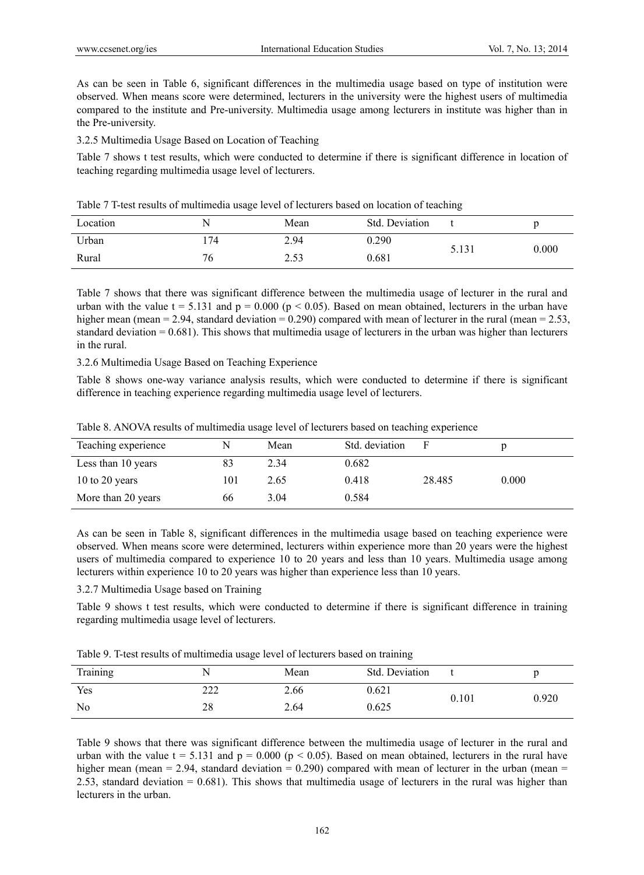As can be seen in Table 6, significant differences in the multimedia usage based on type of institution were observed. When means score were determined, lecturers in the university were the highest users of multimedia compared to the institute and Pre-university. Multimedia usage among lecturers in institute was higher than in the Pre-university.

3.2.5 Multimedia Usage Based on Location of Teaching

Table 7 shows t test results, which were conducted to determine if there is significant difference in location of teaching regarding multimedia usage level of lecturers.

|  | Table 7 T-test results of multimedia usage level of lecturers based on location of teaching |
|--|---------------------------------------------------------------------------------------------|
|--|---------------------------------------------------------------------------------------------|

| Location | N    | Mean | Std. Deviation |       |       |
|----------|------|------|----------------|-------|-------|
| Urban    | ' 74 | 2.94 | 0.290          | 5.131 |       |
| Rural    | 76   | 2.53 | 0.681          |       | 0.000 |

Table 7 shows that there was significant difference between the multimedia usage of lecturer in the rural and urban with the value t = 5.131 and  $p = 0.000$  ( $p < 0.05$ ). Based on mean obtained, lecturers in the urban have higher mean (mean = 2.94, standard deviation = 0.290) compared with mean of lecturer in the rural (mean = 2.53, standard deviation = 0.681). This shows that multimedia usage of lecturers in the urban was higher than lecturers in the rural.

3.2.6 Multimedia Usage Based on Teaching Experience

Table 8 shows one-way variance analysis results, which were conducted to determine if there is significant difference in teaching experience regarding multimedia usage level of lecturers.

|  |  | Table 8. ANOVA results of multimedia usage level of lecturers based on teaching experience |
|--|--|--------------------------------------------------------------------------------------------|
|  |  |                                                                                            |

| Teaching experience | N   | Mean | Std. deviation |        |       |
|---------------------|-----|------|----------------|--------|-------|
| Less than 10 years  | 83  | 2.34 | 0.682          |        |       |
| 10 to 20 years      | 101 | 2.65 | 0.418          | 28.485 | 0.000 |
| More than 20 years  | 66  | 3.04 | 0.584          |        |       |

As can be seen in Table 8, significant differences in the multimedia usage based on teaching experience were observed. When means score were determined, lecturers within experience more than 20 years were the highest users of multimedia compared to experience 10 to 20 years and less than 10 years. Multimedia usage among lecturers within experience 10 to 20 years was higher than experience less than 10 years.

#### 3.2.7 Multimedia Usage based on Training

Table 9 shows t test results, which were conducted to determine if there is significant difference in training regarding multimedia usage level of lecturers.

|                | --         |      | --             |       |       |
|----------------|------------|------|----------------|-------|-------|
| Training       |            | Mean | Std. Deviation |       |       |
| Yes            | າາາ<br>∠∠∠ | 2.66 | 0.621          | 0.101 | 0.920 |
| N <sub>0</sub> | 28         | 2.64 | 0.625          |       |       |
|                |            |      |                |       |       |

Table 9 shows that there was significant difference between the multimedia usage of lecturer in the rural and urban with the value  $t = 5.131$  and  $p = 0.000$  ( $p < 0.05$ ). Based on mean obtained, lecturers in the rural have higher mean (mean = 2.94, standard deviation = 0.290) compared with mean of lecturer in the urban (mean = 2.53, standard deviation  $= 0.681$ . This shows that multimedia usage of lecturers in the rural was higher than lecturers in the urban.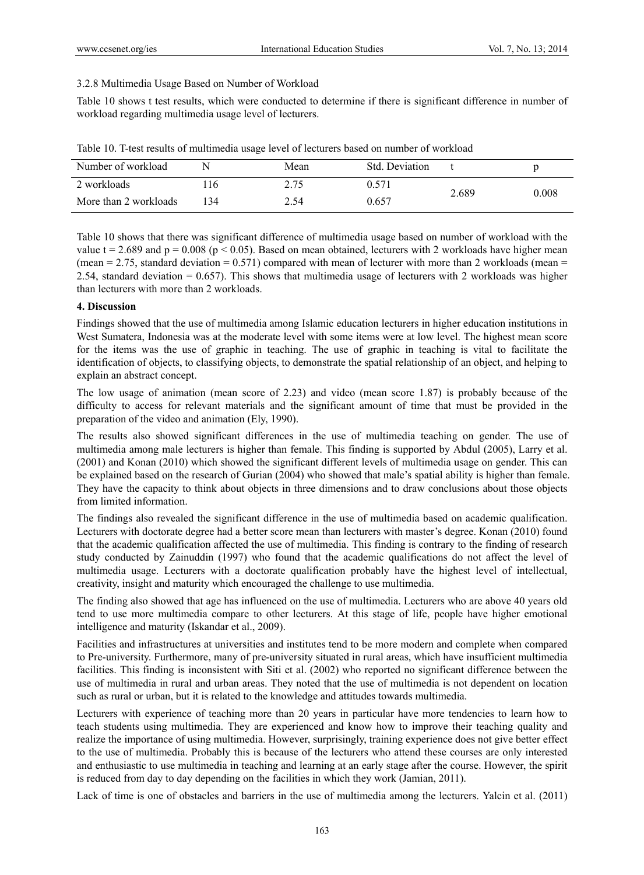#### 3.2.8 Multimedia Usage Based on Number of Workload

Table 10 shows t test results, which were conducted to determine if there is significant difference in number of workload regarding multimedia usage level of lecturers.

| Number of workload    | N   | Mean | Std. Deviation |       |       |
|-----------------------|-----|------|----------------|-------|-------|
| 2 workloads           | 16  | 2.75 | ).571          | 2.689 | 0.008 |
| More than 2 workloads | 134 | 2.54 | 0.657          |       |       |

Table 10. T-test results of multimedia usage level of lecturers based on number of workload

Table 10 shows that there was significant difference of multimedia usage based on number of workload with the value t = 2.689 and  $p = 0.008$  ( $p < 0.05$ ). Based on mean obtained, lecturers with 2 workloads have higher mean (mean  $= 2.75$ , standard deviation  $= 0.571$ ) compared with mean of lecturer with more than 2 workloads (mean  $=$ 2.54, standard deviation  $= 0.657$ ). This shows that multimedia usage of lecturers with 2 workloads was higher than lecturers with more than 2 workloads.

### **4. Discussion**

Findings showed that the use of multimedia among Islamic education lecturers in higher education institutions in West Sumatera, Indonesia was at the moderate level with some items were at low level. The highest mean score for the items was the use of graphic in teaching. The use of graphic in teaching is vital to facilitate the identification of objects, to classifying objects, to demonstrate the spatial relationship of an object, and helping to explain an abstract concept.

The low usage of animation (mean score of 2.23) and video (mean score 1.87) is probably because of the difficulty to access for relevant materials and the significant amount of time that must be provided in the preparation of the video and animation (Ely, 1990).

The results also showed significant differences in the use of multimedia teaching on gender. The use of multimedia among male lecturers is higher than female. This finding is supported by Abdul (2005), Larry et al. (2001) and Konan (2010) which showed the significant different levels of multimedia usage on gender. This can be explained based on the research of Gurian (2004) who showed that male's spatial ability is higher than female. They have the capacity to think about objects in three dimensions and to draw conclusions about those objects from limited information.

The findings also revealed the significant difference in the use of multimedia based on academic qualification. Lecturers with doctorate degree had a better score mean than lecturers with master's degree. Konan (2010) found that the academic qualification affected the use of multimedia. This finding is contrary to the finding of research study conducted by Zainuddin (1997) who found that the academic qualifications do not affect the level of multimedia usage. Lecturers with a doctorate qualification probably have the highest level of intellectual, creativity, insight and maturity which encouraged the challenge to use multimedia.

The finding also showed that age has influenced on the use of multimedia. Lecturers who are above 40 years old tend to use more multimedia compare to other lecturers. At this stage of life, people have higher emotional intelligence and maturity (Iskandar et al., 2009).

Facilities and infrastructures at universities and institutes tend to be more modern and complete when compared to Pre-university. Furthermore, many of pre-university situated in rural areas, which have insufficient multimedia facilities. This finding is inconsistent with Siti et al. (2002) who reported no significant difference between the use of multimedia in rural and urban areas. They noted that the use of multimedia is not dependent on location such as rural or urban, but it is related to the knowledge and attitudes towards multimedia.

Lecturers with experience of teaching more than 20 years in particular have more tendencies to learn how to teach students using multimedia. They are experienced and know how to improve their teaching quality and realize the importance of using multimedia. However, surprisingly, training experience does not give better effect to the use of multimedia. Probably this is because of the lecturers who attend these courses are only interested and enthusiastic to use multimedia in teaching and learning at an early stage after the course. However, the spirit is reduced from day to day depending on the facilities in which they work (Jamian, 2011).

Lack of time is one of obstacles and barriers in the use of multimedia among the lecturers. Yalcin et al. (2011)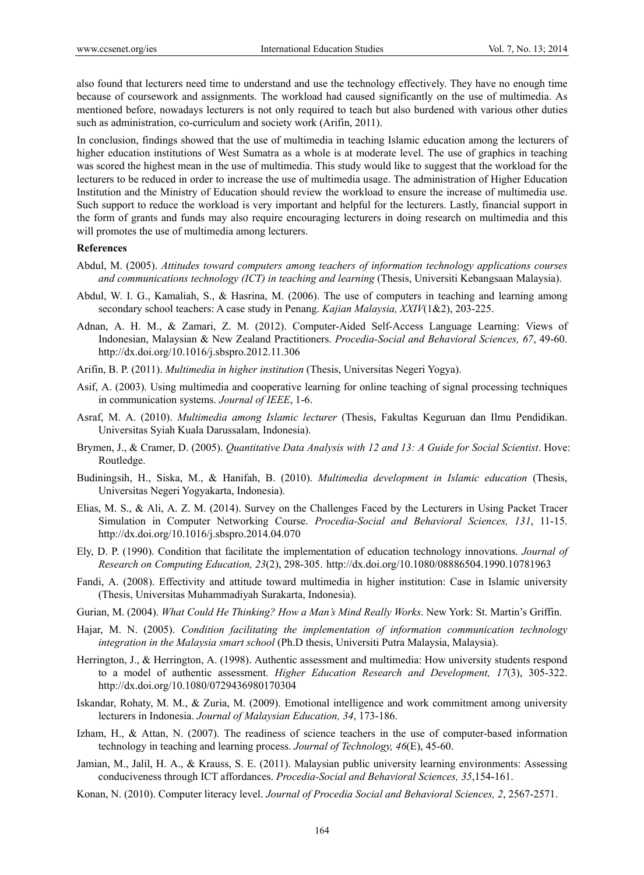also found that lecturers need time to understand and use the technology effectively. They have no enough time because of coursework and assignments. The workload had caused significantly on the use of multimedia. As mentioned before, nowadays lecturers is not only required to teach but also burdened with various other duties such as administration, co-curriculum and society work (Arifin, 2011).

In conclusion, findings showed that the use of multimedia in teaching Islamic education among the lecturers of higher education institutions of West Sumatra as a whole is at moderate level. The use of graphics in teaching was scored the highest mean in the use of multimedia. This study would like to suggest that the workload for the lecturers to be reduced in order to increase the use of multimedia usage. The administration of Higher Education Institution and the Ministry of Education should review the workload to ensure the increase of multimedia use. Such support to reduce the workload is very important and helpful for the lecturers. Lastly, financial support in the form of grants and funds may also require encouraging lecturers in doing research on multimedia and this will promotes the use of multimedia among lecturers.

#### **References**

- Abdul, M. (2005). *Attitudes toward computers among teachers of information technology applications courses and communications technology (ICT) in teaching and learning* (Thesis, Universiti Kebangsaan Malaysia).
- Abdul, W. I. G., Kamaliah, S., & Hasrina, M. (2006). The use of computers in teaching and learning among secondary school teachers: A case study in Penang. *Kajian Malaysia, XXIV*(1&2), 203-225.
- Adnan, A. H. M., & Zamari, Z. M. (2012). Computer-Aided Self-Access Language Learning: Views of Indonesian, Malaysian & New Zealand Practitioners. *Procedia-Social and Behavioral Sciences, 67*, 49-60. http://dx.doi.org/10.1016/j.sbspro.2012.11.306
- Arifin, B. P. (2011). *Multimedia in higher institution* (Thesis, Universitas Negeri Yogya).
- Asif, A. (2003). Using multimedia and cooperative learning for online teaching of signal processing techniques in communication systems. *Journal of IEEE*, 1-6.
- Asraf, M. A. (2010). *Multimedia among Islamic lecturer* (Thesis, Fakultas Keguruan dan Ilmu Pendidikan. Universitas Syiah Kuala Darussalam, Indonesia).
- Brymen, J., & Cramer, D. (2005). *Quantitative Data Analysis with 12 and 13: A Guide for Social Scientist*. Hove: Routledge.
- Budiningsih, H., Siska, M., & Hanifah, B. (2010). *Multimedia development in Islamic education* (Thesis, Universitas Negeri Yogyakarta, Indonesia).
- Elias, M. S., & Ali, A. Z. M. (2014). Survey on the Challenges Faced by the Lecturers in Using Packet Tracer Simulation in Computer Networking Course. *Procedia-Social and Behavioral Sciences, 131*, 11-15. http://dx.doi.org/10.1016/j.sbspro.2014.04.070
- Ely, D. P. (1990). Condition that facilitate the implementation of education technology innovations. *Journal of Research on Computing Education, 23*(2), 298-305. http://dx.doi.org/10.1080/08886504.1990.10781963
- Fandi, A. (2008). Effectivity and attitude toward multimedia in higher institution: Case in Islamic university (Thesis, Universitas Muhammadiyah Surakarta, Indonesia).
- Gurian, M. (2004). *What Could He Thinking? How a Man's Mind Really Works*. New York: St. Martin's Griffin.
- Hajar, M. N. (2005). *Condition facilitating the implementation of information communication technology integration in the Malaysia smart school* (Ph.D thesis, Universiti Putra Malaysia, Malaysia).
- Herrington, J., & Herrington, A. (1998). Authentic assessment and multimedia: How university students respond to a model of authentic assessment. *Higher Education Research and Development, 17*(3), 305-322. http://dx.doi.org/10.1080/0729436980170304
- Iskandar, Rohaty, M. M., & Zuria, M. (2009). Emotional intelligence and work commitment among university lecturers in Indonesia. *Journal of Malaysian Education, 34*, 173-186.
- Izham, H., & Attan, N. (2007). The readiness of science teachers in the use of computer-based information technology in teaching and learning process. *Journal of Technology, 46*(E), 45-60.
- Jamian, M., Jalil, H. A., & Krauss, S. E. (2011). Malaysian public university learning environments: Assessing conduciveness through ICT affordances. *Procedia-Social and Behavioral Sciences, 35*,154-161.
- Konan, N. (2010). Computer literacy level. *Journal of Procedia Social and Behavioral Sciences, 2*, 2567-2571.